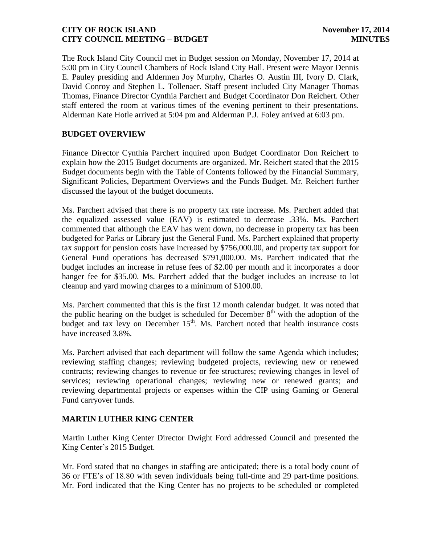The Rock Island City Council met in Budget session on Monday, November 17, 2014 at 5:00 pm in City Council Chambers of Rock Island City Hall. Present were Mayor Dennis E. Pauley presiding and Aldermen Joy Murphy, Charles O. Austin III, Ivory D. Clark, David Conroy and Stephen L. Tollenaer. Staff present included City Manager Thomas Thomas, Finance Director Cynthia Parchert and Budget Coordinator Don Reichert. Other staff entered the room at various times of the evening pertinent to their presentations. Alderman Kate Hotle arrived at 5:04 pm and Alderman P.J. Foley arrived at 6:03 pm.

# **BUDGET OVERVIEW**

Finance Director Cynthia Parchert inquired upon Budget Coordinator Don Reichert to explain how the 2015 Budget documents are organized. Mr. Reichert stated that the 2015 Budget documents begin with the Table of Contents followed by the Financial Summary, Significant Policies, Department Overviews and the Funds Budget. Mr. Reichert further discussed the layout of the budget documents.

Ms. Parchert advised that there is no property tax rate increase. Ms. Parchert added that the equalized assessed value (EAV) is estimated to decrease .33%. Ms. Parchert commented that although the EAV has went down, no decrease in property tax has been budgeted for Parks or Library just the General Fund. Ms. Parchert explained that property tax support for pension costs have increased by \$756,000.00, and property tax support for General Fund operations has decreased \$791,000.00. Ms. Parchert indicated that the budget includes an increase in refuse fees of \$2.00 per month and it incorporates a door hanger fee for \$35.00. Ms. Parchert added that the budget includes an increase to lot cleanup and yard mowing charges to a minimum of \$100.00.

Ms. Parchert commented that this is the first 12 month calendar budget. It was noted that the public hearing on the budget is scheduled for December  $8<sup>th</sup>$  with the adoption of the budget and tax levy on December  $15<sup>th</sup>$ . Ms. Parchert noted that health insurance costs have increased 3.8%.

Ms. Parchert advised that each department will follow the same Agenda which includes; reviewing staffing changes; reviewing budgeted projects, reviewing new or renewed contracts; reviewing changes to revenue or fee structures; reviewing changes in level of services; reviewing operational changes; reviewing new or renewed grants; and reviewing departmental projects or expenses within the CIP using Gaming or General Fund carryover funds.

# **MARTIN LUTHER KING CENTER**

Martin Luther King Center Director Dwight Ford addressed Council and presented the King Center's 2015 Budget.

Mr. Ford stated that no changes in staffing are anticipated; there is a total body count of 36 or FTE's of 18.80 with seven individuals being full-time and 29 part-time positions. Mr. Ford indicated that the King Center has no projects to be scheduled or completed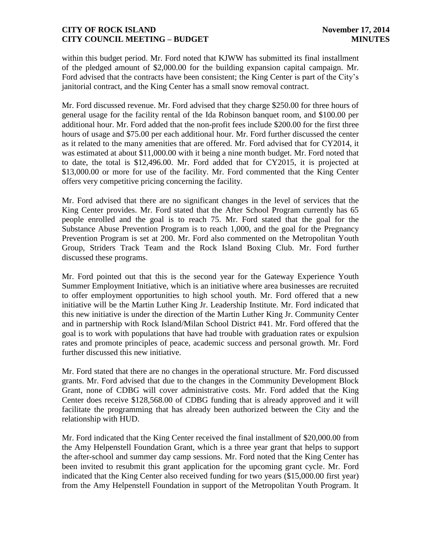within this budget period. Mr. Ford noted that KJWW has submitted its final installment of the pledged amount of \$2,000.00 for the building expansion capital campaign. Mr. Ford advised that the contracts have been consistent; the King Center is part of the City's janitorial contract, and the King Center has a small snow removal contract.

Mr. Ford discussed revenue. Mr. Ford advised that they charge \$250.00 for three hours of general usage for the facility rental of the Ida Robinson banquet room, and \$100.00 per additional hour. Mr. Ford added that the non-profit fees include \$200.00 for the first three hours of usage and \$75.00 per each additional hour. Mr. Ford further discussed the center as it related to the many amenities that are offered. Mr. Ford advised that for CY2014, it was estimated at about \$11,000.00 with it being a nine month budget. Mr. Ford noted that to date, the total is \$12,496.00. Mr. Ford added that for CY2015, it is projected at \$13,000.00 or more for use of the facility. Mr. Ford commented that the King Center offers very competitive pricing concerning the facility.

Mr. Ford advised that there are no significant changes in the level of services that the King Center provides. Mr. Ford stated that the After School Program currently has 65 people enrolled and the goal is to reach 75. Mr. Ford stated that the goal for the Substance Abuse Prevention Program is to reach 1,000, and the goal for the Pregnancy Prevention Program is set at 200. Mr. Ford also commented on the Metropolitan Youth Group, Striders Track Team and the Rock Island Boxing Club. Mr. Ford further discussed these programs.

Mr. Ford pointed out that this is the second year for the Gateway Experience Youth Summer Employment Initiative, which is an initiative where area businesses are recruited to offer employment opportunities to high school youth. Mr. Ford offered that a new initiative will be the Martin Luther King Jr. Leadership Institute. Mr. Ford indicated that this new initiative is under the direction of the Martin Luther King Jr. Community Center and in partnership with Rock Island/Milan School District #41. Mr. Ford offered that the goal is to work with populations that have had trouble with graduation rates or expulsion rates and promote principles of peace, academic success and personal growth. Mr. Ford further discussed this new initiative.

Mr. Ford stated that there are no changes in the operational structure. Mr. Ford discussed grants. Mr. Ford advised that due to the changes in the Community Development Block Grant, none of CDBG will cover administrative costs. Mr. Ford added that the King Center does receive \$128,568.00 of CDBG funding that is already approved and it will facilitate the programming that has already been authorized between the City and the relationship with HUD.

Mr. Ford indicated that the King Center received the final installment of \$20,000.00 from the Amy Helpenstell Foundation Grant, which is a three year grant that helps to support the after-school and summer day camp sessions. Mr. Ford noted that the King Center has been invited to resubmit this grant application for the upcoming grant cycle. Mr. Ford indicated that the King Center also received funding for two years (\$15,000.00 first year) from the Amy Helpenstell Foundation in support of the Metropolitan Youth Program. It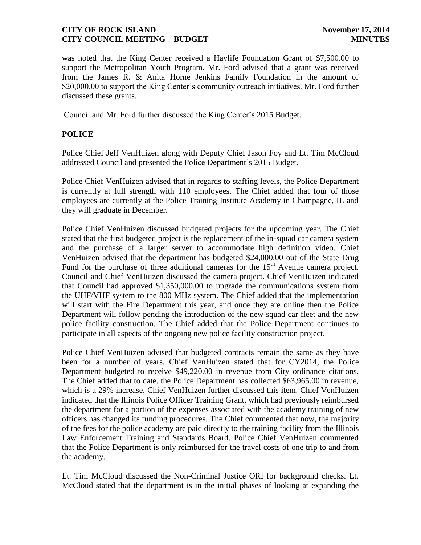was noted that the King Center received a Havlife Foundation Grant of \$7,500.00 to support the Metropolitan Youth Program. Mr. Ford advised that a grant was received from the James R. & Anita Horne Jenkins Family Foundation in the amount of \$20,000.00 to support the King Center's community outreach initiatives. Mr. Ford further discussed these grants.

Council and Mr. Ford further discussed the King Center's 2015 Budget.

# **POLICE**

Police Chief Jeff VenHuizen along with Deputy Chief Jason Foy and Lt. Tim McCloud addressed Council and presented the Police Department's 2015 Budget.

Police Chief VenHuizen advised that in regards to staffing levels, the Police Department is currently at full strength with 110 employees. The Chief added that four of those employees are currently at the Police Training Institute Academy in Champagne, IL and they will graduate in December.

Police Chief VenHuizen discussed budgeted projects for the upcoming year. The Chief stated that the first budgeted project is the replacement of the in-squad car camera system and the purchase of a larger server to accommodate high definition video. Chief VenHuizen advised that the department has budgeted \$24,000.00 out of the State Drug Fund for the purchase of three additional cameras for the  $15<sup>th</sup>$  Avenue camera project. Council and Chief VenHuizen discussed the camera project. Chief VenHuizen indicated that Council had approved \$1,350,000.00 to upgrade the communications system from the UHF/VHF system to the 800 MHz system. The Chief added that the implementation will start with the Fire Department this year, and once they are online then the Police Department will follow pending the introduction of the new squad car fleet and the new police facility construction. The Chief added that the Police Department continues to participate in all aspects of the ongoing new police facility construction project.

Police Chief VenHuizen advised that budgeted contracts remain the same as they have been for a number of years. Chief VenHuizen stated that for CY2014, the Police Department budgeted to receive \$49,220.00 in revenue from City ordinance citations. The Chief added that to date, the Police Department has collected \$63,965.00 in revenue, which is a 29% increase. Chief VenHuizen further discussed this item. Chief VenHuizen indicated that the Illinois Police Officer Training Grant, which had previously reimbursed the department for a portion of the expenses associated with the academy training of new officers has changed its funding procedures. The Chief commented that now, the majority of the fees for the police academy are paid directly to the training facility from the Illinois Law Enforcement Training and Standards Board. Police Chief VenHuizen commented that the Police Department is only reimbursed for the travel costs of one trip to and from the academy.

Lt. Tim McCloud discussed the Non-Criminal Justice ORI for background checks. Lt. McCloud stated that the department is in the initial phases of looking at expanding the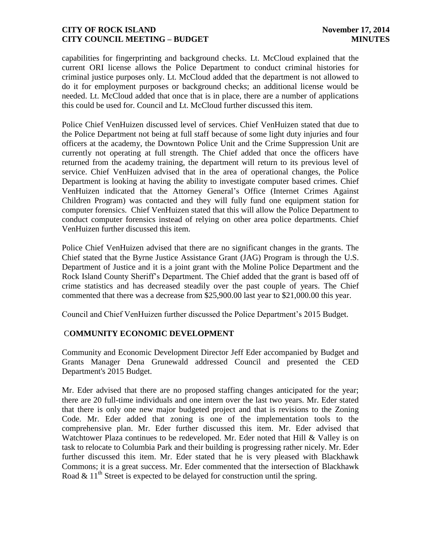capabilities for fingerprinting and background checks. Lt. McCloud explained that the current ORI license allows the Police Department to conduct criminal histories for criminal justice purposes only. Lt. McCloud added that the department is not allowed to do it for employment purposes or background checks; an additional license would be needed. Lt. McCloud added that once that is in place, there are a number of applications this could be used for. Council and Lt. McCloud further discussed this item.

Police Chief VenHuizen discussed level of services. Chief VenHuizen stated that due to the Police Department not being at full staff because of some light duty injuries and four officers at the academy, the Downtown Police Unit and the Crime Suppression Unit are currently not operating at full strength. The Chief added that once the officers have returned from the academy training, the department will return to its previous level of service. Chief VenHuizen advised that in the area of operational changes, the Police Department is looking at having the ability to investigate computer based crimes. Chief VenHuizen indicated that the Attorney General's Office (Internet Crimes Against Children Program) was contacted and they will fully fund one equipment station for computer forensics. Chief VenHuizen stated that this will allow the Police Department to conduct computer forensics instead of relying on other area police departments. Chief VenHuizen further discussed this item.

Police Chief VenHuizen advised that there are no significant changes in the grants. The Chief stated that the Byrne Justice Assistance Grant (JAG) Program is through the U.S. Department of Justice and it is a joint grant with the Moline Police Department and the Rock Island County Sheriff's Department. The Chief added that the grant is based off of crime statistics and has decreased steadily over the past couple of years. The Chief commented that there was a decrease from \$25,900.00 last year to \$21,000.00 this year.

Council and Chief VenHuizen further discussed the Police Department's 2015 Budget.

# C**OMMUNITY ECONOMIC DEVELOPMENT**

Community and Economic Development Director Jeff Eder accompanied by Budget and Grants Manager Dena Grunewald addressed Council and presented the CED Department's 2015 Budget.

Mr. Eder advised that there are no proposed staffing changes anticipated for the year; there are 20 full-time individuals and one intern over the last two years. Mr. Eder stated that there is only one new major budgeted project and that is revisions to the Zoning Code. Mr. Eder added that zoning is one of the implementation tools to the comprehensive plan. Mr. Eder further discussed this item. Mr. Eder advised that Watchtower Plaza continues to be redeveloped. Mr. Eder noted that Hill & Valley is on task to relocate to Columbia Park and their building is progressing rather nicely. Mr. Eder further discussed this item. Mr. Eder stated that he is very pleased with Blackhawk Commons; it is a great success. Mr. Eder commented that the intersection of Blackhawk Road  $\&$  11<sup>th</sup> Street is expected to be delayed for construction until the spring.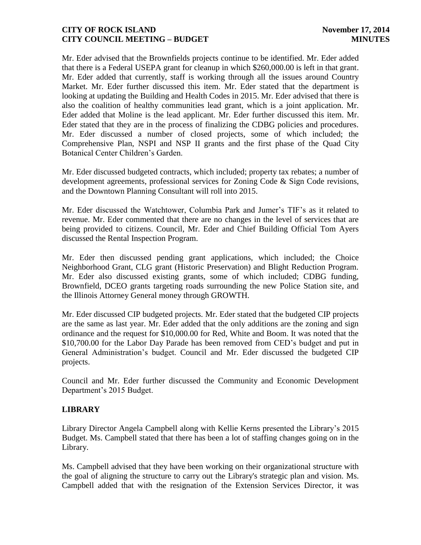Mr. Eder advised that the Brownfields projects continue to be identified. Mr. Eder added that there is a Federal USEPA grant for cleanup in which \$260,000.00 is left in that grant. Mr. Eder added that currently, staff is working through all the issues around Country Market. Mr. Eder further discussed this item. Mr. Eder stated that the department is looking at updating the Building and Health Codes in 2015. Mr. Eder advised that there is also the coalition of healthy communities lead grant, which is a joint application. Mr. Eder added that Moline is the lead applicant. Mr. Eder further discussed this item. Mr. Eder stated that they are in the process of finalizing the CDBG policies and procedures. Mr. Eder discussed a number of closed projects, some of which included; the Comprehensive Plan, NSPI and NSP II grants and the first phase of the Quad City Botanical Center Children's Garden.

Mr. Eder discussed budgeted contracts, which included; property tax rebates; a number of development agreements, professional services for Zoning Code & Sign Code revisions, and the Downtown Planning Consultant will roll into 2015.

Mr. Eder discussed the Watchtower, Columbia Park and Jumer's TIF's as it related to revenue. Mr. Eder commented that there are no changes in the level of services that are being provided to citizens. Council, Mr. Eder and Chief Building Official Tom Ayers discussed the Rental Inspection Program.

Mr. Eder then discussed pending grant applications, which included; the Choice Neighborhood Grant, CLG grant (Historic Preservation) and Blight Reduction Program. Mr. Eder also discussed existing grants, some of which included; CDBG funding, Brownfield, DCEO grants targeting roads surrounding the new Police Station site, and the Illinois Attorney General money through GROWTH.

Mr. Eder discussed CIP budgeted projects. Mr. Eder stated that the budgeted CIP projects are the same as last year. Mr. Eder added that the only additions are the zoning and sign ordinance and the request for \$10,000.00 for Red, White and Boom. It was noted that the \$10,700.00 for the Labor Day Parade has been removed from CED's budget and put in General Administration's budget. Council and Mr. Eder discussed the budgeted CIP projects.

Council and Mr. Eder further discussed the Community and Economic Development Department's 2015 Budget.

# **LIBRARY**

Library Director Angela Campbell along with Kellie Kerns presented the Library's 2015 Budget. Ms. Campbell stated that there has been a lot of staffing changes going on in the Library.

Ms. Campbell advised that they have been working on their organizational structure with the goal of aligning the structure to carry out the Library's strategic plan and vision. Ms. Campbell added that with the resignation of the Extension Services Director, it was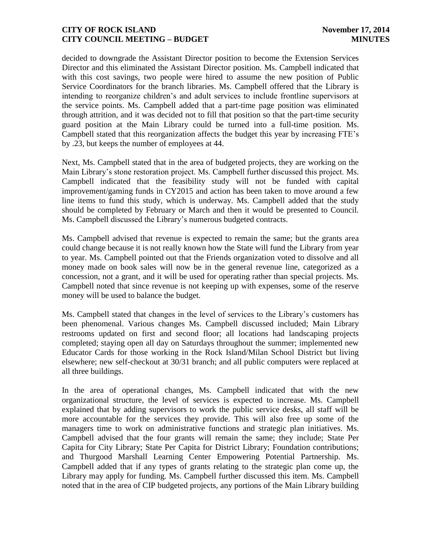decided to downgrade the Assistant Director position to become the Extension Services Director and this eliminated the Assistant Director position. Ms. Campbell indicated that with this cost savings, two people were hired to assume the new position of Public Service Coordinators for the branch libraries. Ms. Campbell offered that the Library is intending to reorganize children's and adult services to include frontline supervisors at the service points. Ms. Campbell added that a part-time page position was eliminated through attrition, and it was decided not to fill that position so that the part-time security guard position at the Main Library could be turned into a full-time position. Ms. Campbell stated that this reorganization affects the budget this year by increasing FTE's by .23, but keeps the number of employees at 44.

Next, Ms. Campbell stated that in the area of budgeted projects, they are working on the Main Library's stone restoration project. Ms. Campbell further discussed this project. Ms. Campbell indicated that the feasibility study will not be funded with capital improvement/gaming funds in CY2015 and action has been taken to move around a few line items to fund this study, which is underway. Ms. Campbell added that the study should be completed by February or March and then it would be presented to Council. Ms. Campbell discussed the Library's numerous budgeted contracts.

Ms. Campbell advised that revenue is expected to remain the same; but the grants area could change because it is not really known how the State will fund the Library from year to year. Ms. Campbell pointed out that the Friends organization voted to dissolve and all money made on book sales will now be in the general revenue line, categorized as a concession, not a grant, and it will be used for operating rather than special projects. Ms. Campbell noted that since revenue is not keeping up with expenses, some of the reserve money will be used to balance the budget.

Ms. Campbell stated that changes in the level of services to the Library's customers has been phenomenal. Various changes Ms. Campbell discussed included; Main Library restrooms updated on first and second floor; all locations had landscaping projects completed; staying open all day on Saturdays throughout the summer; implemented new Educator Cards for those working in the Rock Island/Milan School District but living elsewhere; new self-checkout at 30/31 branch; and all public computers were replaced at all three buildings.

In the area of operational changes, Ms. Campbell indicated that with the new organizational structure, the level of services is expected to increase. Ms. Campbell explained that by adding supervisors to work the public service desks, all staff will be more accountable for the services they provide. This will also free up some of the managers time to work on administrative functions and strategic plan initiatives. Ms. Campbell advised that the four grants will remain the same; they include; State Per Capita for City Library; State Per Capita for District Library; Foundation contributions; and Thurgood Marshall Learning Center Empowering Potential Partnership. Ms. Campbell added that if any types of grants relating to the strategic plan come up, the Library may apply for funding. Ms. Campbell further discussed this item. Ms. Campbell noted that in the area of CIP budgeted projects, any portions of the Main Library building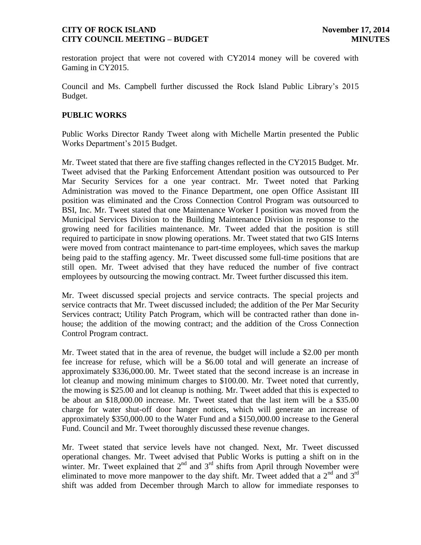restoration project that were not covered with CY2014 money will be covered with Gaming in CY2015.

Council and Ms. Campbell further discussed the Rock Island Public Library's 2015 Budget.

## **PUBLIC WORKS**

Public Works Director Randy Tweet along with Michelle Martin presented the Public Works Department's 2015 Budget.

Mr. Tweet stated that there are five staffing changes reflected in the CY2015 Budget. Mr. Tweet advised that the Parking Enforcement Attendant position was outsourced to Per Mar Security Services for a one year contract. Mr. Tweet noted that Parking Administration was moved to the Finance Department, one open Office Assistant III position was eliminated and the Cross Connection Control Program was outsourced to BSI, Inc. Mr. Tweet stated that one Maintenance Worker I position was moved from the Municipal Services Division to the Building Maintenance Division in response to the growing need for facilities maintenance. Mr. Tweet added that the position is still required to participate in snow plowing operations. Mr. Tweet stated that two GIS Interns were moved from contract maintenance to part-time employees, which saves the markup being paid to the staffing agency. Mr. Tweet discussed some full-time positions that are still open. Mr. Tweet advised that they have reduced the number of five contract employees by outsourcing the mowing contract. Mr. Tweet further discussed this item.

Mr. Tweet discussed special projects and service contracts. The special projects and service contracts that Mr. Tweet discussed included; the addition of the Per Mar Security Services contract; Utility Patch Program, which will be contracted rather than done inhouse; the addition of the mowing contract; and the addition of the Cross Connection Control Program contract.

Mr. Tweet stated that in the area of revenue, the budget will include a \$2.00 per month fee increase for refuse, which will be a \$6.00 total and will generate an increase of approximately \$336,000.00. Mr. Tweet stated that the second increase is an increase in lot cleanup and mowing minimum charges to \$100.00. Mr. Tweet noted that currently, the mowing is \$25.00 and lot cleanup is nothing. Mr. Tweet added that this is expected to be about an \$18,000.00 increase. Mr. Tweet stated that the last item will be a \$35.00 charge for water shut-off door hanger notices, which will generate an increase of approximately \$350,000.00 to the Water Fund and a \$150,000.00 increase to the General Fund. Council and Mr. Tweet thoroughly discussed these revenue changes.

Mr. Tweet stated that service levels have not changed. Next, Mr. Tweet discussed operational changes. Mr. Tweet advised that Public Works is putting a shift on in the winter. Mr. Tweet explained that  $2^{nd}$  and  $3^{rd}$  shifts from April through November were eliminated to move more manpower to the day shift. Mr. Tweet added that a  $2^{nd}$  and  $3^{rd}$ shift was added from December through March to allow for immediate responses to